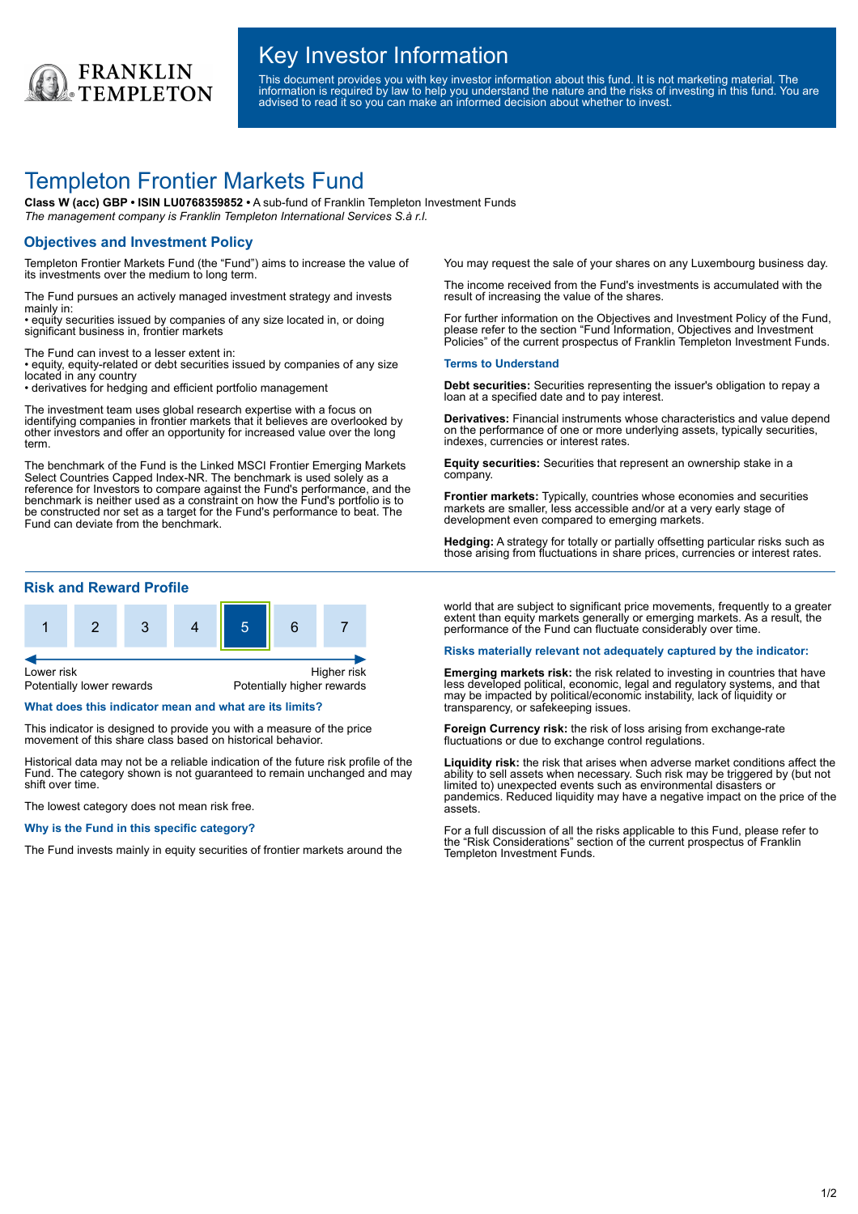

# Key Investor Information

This document provides you with key investor information about this fund. It is not marketing material. The information is required by law to help you understand the nature and the risks of investing in this fund. You are advised to read it so you can make an informed decision about whether to invest.

## Templeton Frontier Markets Fund

**Class W (acc) GBP • ISIN LU0768359852 •** A sub-fund of Franklin Templeton Investment Funds *The management company is Franklin Templeton International Services S.à r.l.*

## **Objectives and Investment Policy**

Templeton Frontier Markets Fund (the "Fund") aims to increase the value of its investments over the medium to long term.

The Fund pursues an actively managed investment strategy and invests mainly in:

• equity securities issued by companies of any size located in, or doing significant business in, frontier markets

The Fund can invest to a lesser extent in:

• equity, equity-related or debt securities issued by companies of any size located in any country

• derivatives for hedging and efficient portfolio management

The investment team uses global research expertise with a focus on identifying companies in frontier markets that it believes are overlooked by other investors and offer an opportunity for increased value over the long term.

The benchmark of the Fund is the Linked MSCI Frontier Emerging Markets Select Countries Capped Index-NR. The benchmark is used solely as a reference for Investors to compare against the Fund's performance, and the benchmark is neither used as a constraint on how the Fund's portfolio is to be constructed nor set as a target for the Fund's performance to beat. The Fund can deviate from the benchmark.

### **Risk and Reward Profile**



**What does this indicator mean and what are its limits?**

This indicator is designed to provide you with a measure of the price movement of this share class based on historical behavior.

Historical data may not be a reliable indication of the future risk profile of the Fund. The category shown is not guaranteed to remain unchanged and may shift over time.

The lowest category does not mean risk free.

**Why is the Fund in this specific category?**

The Fund invests mainly in equity securities of frontier markets around the

You may request the sale of your shares on any Luxembourg business day.

The income received from the Fund's investments is accumulated with the result of increasing the value of the shares.

For further information on the Objectives and Investment Policy of the Fund, please refer to the section "Fund Information, Objectives and Investment Policies" of the current prospectus of Franklin Templeton Investment Funds.

#### **Terms to Understand**

**Debt securities:** Securities representing the issuer's obligation to repay a loan at a specified date and to pay interest.

**Derivatives:** Financial instruments whose characteristics and value depend on the performance of one or more underlying assets, typically securities, indexes, currencies or interest rates.

**Equity securities:** Securities that represent an ownership stake in a company.

**Frontier markets:** Typically, countries whose economies and securities markets are smaller, less accessible and/or at a very early stage of development even compared to emerging markets.

**Hedging:** A strategy for totally or partially offsetting particular risks such as those arising from fluctuations in share prices, currencies or interest rates.

world that are subject to significant price movements, frequently to a greater extent than equity markets generally or emerging markets. As a result, the performance of the Fund can fluctuate considerably over time.

#### **Risks materially relevant not adequately captured by the indicator:**

**Emerging markets risk:** the risk related to investing in countries that have less developed political, economic, legal and regulatory systems, and that may be impacted by political/economic instability, lack of liquidity or transparency, or safekeeping issues.

**Foreign Currency risk:** the risk of loss arising from exchange-rate fluctuations or due to exchange control regulations.

**Liquidity risk:** the risk that arises when adverse market conditions affect the ability to sell assets when necessary. Such risk may be triggered by (but not limited to) unexpected events such as environmental disasters or pandemics. Reduced liquidity may have a negative impact on the price of the assets.

For a full discussion of all the risks applicable to this Fund, please refer to the "Risk Considerations" section of the current prospectus of Franklin Templeton Investment Funds.